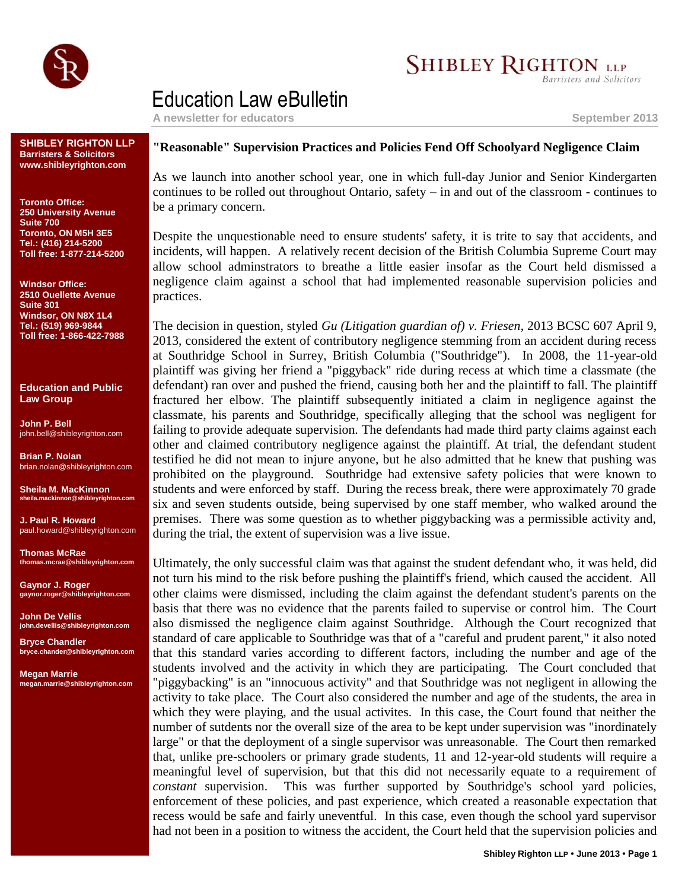

# **SHIBLEY RIGHTON LLP**

**Barristers and Solicitors** 

## Education Law eBulletin

**A newsletter for educators September 2013**

**SHIBLEY RIGHTON LLP Barristers & Solicitors www.shibleyrighton.com**

**Toronto Office: 250 University Avenue Suite 700 Toronto, ON M5H 3E5 Tel.: (416) 214-5200 Toll free: 1-877-214-5200**

**Windsor Office: 2510 Ouellette Avenue Suite 301 Windsor, ON N8X 1L4 Tel.: (519) 969-9844 Toll free: 1-866-422-7988**

**Education and Public Law Group**

**John P. Bell** john.bell@shibleyrighton.com

**Brian P. Nolan** brian.nolan@shibleyrighton.com

**Sheila M. MacKinnon ila.mackinnon@shib** 

**J. Paul R. Howard** paul.howard@shibleyrighton.com

**Thomas McRae thomas.mcrae@shibleyrighton.com**

**Gaynor J. Roger gaynor.roger@shibleyrighton.com**

**John De Vellis john.devellis@shibleyrighton.com**

**Bryce Chandler bryce.chander@shibleyrighton.com**

**Megan Marrie megan.marrie@shibleyrighton.com**

## **"Reasonable" Supervision Practices and Policies Fend Off Schoolyard Negligence Claim**

As we launch into another school year, one in which full-day Junior and Senior Kindergarten continues to be rolled out throughout Ontario, safety – in and out of the classroom - continues to be a primary concern.

Despite the unquestionable need to ensure students' safety, it is trite to say that accidents, and incidents, will happen. A relatively recent decision of the British Columbia Supreme Court may allow school adminstrators to breathe a little easier insofar as the Court held dismissed a negligence claim against a school that had implemented reasonable supervision policies and practices.

The decision in question, styled *Gu (Litigation guardian of) v. Friesen*, 2013 BCSC 607 April 9, 2013, considered the extent of contributory negligence stemming from an accident during recess at Southridge School in Surrey, British Columbia ("Southridge"). In 2008, the 11-year-old plaintiff was giving her friend a "piggyback" ride during recess at which time a classmate (the defendant) ran over and pushed the friend, causing both her and the plaintiff to fall. The plaintiff fractured her elbow. The plaintiff subsequently initiated a claim in negligence against the classmate, his parents and Southridge, specifically alleging that the school was negligent for failing to provide adequate supervision. The defendants had made third party claims against each other and claimed contributory negligence against the plaintiff. At trial, the defendant student testified he did not mean to injure anyone, but he also admitted that he knew that pushing was prohibited on the playground. Southridge had extensive safety policies that were known to students and were enforced by staff. During the recess break, there were approximately 70 grade six and seven students outside, being supervised by one staff member, who walked around the premises. There was some question as to whether piggybacking was a permissible activity and, during the trial, the extent of supervision was a live issue.

Ultimately, the only successful claim was that against the student defendant who, it was held, did not turn his mind to the risk before pushing the plaintiff's friend, which caused the accident. All other claims were dismissed, including the claim against the defendant student's parents on the basis that there was no evidence that the parents failed to supervise or control him. The Court also dismissed the negligence claim against Southridge. Although the Court recognized that standard of care applicable to Southridge was that of a "careful and prudent parent," it also noted that this standard varies according to different factors, including the number and age of the students involved and the activity in which they are participating. The Court concluded that "piggybacking" is an "innocuous activity" and that Southridge was not negligent in allowing the activity to take place. The Court also considered the number and age of the students, the area in which they were playing, and the usual activites. In this case, the Court found that neither the number of sutdents nor the overall size of the area to be kept under supervision was "inordinately large" or that the deployment of a single supervisor was unreasonable. The Court then remarked that, unlike pre-schoolers or primary grade students, 11 and 12-year-old students will require a meaningful level of supervision, but that this did not necessarily equate to a requirement of *constant* supervision. This was further supported by Southridge's school yard policies, enforcement of these policies, and past experience, which created a reasonable expectation that recess would be safe and fairly uneventful. In this case, even though the school yard supervisor had not been in a position to witness the accident, the Court held that the supervision policies and